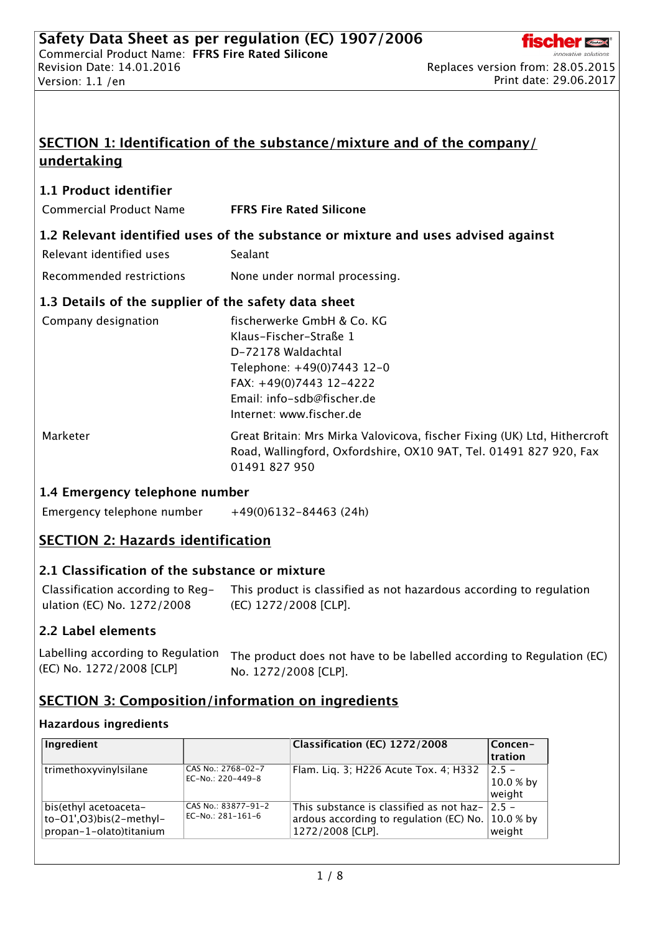

# SECTION 1: Identification of the substance/mixture and of the company/ undertaking

## 1.1 Product identifier

Commercial Product Name FFRS Fire Rated Silicone

### 1.2 Relevant identified uses of the substance or mixture and uses advised against

| Relevant identified uses                             | Sealant                                    |
|------------------------------------------------------|--------------------------------------------|
| Recommended restrictions                             | None under normal processing.              |
| 1.3 Details of the supplier of the safety data sheet |                                            |
| Company designation                                  | fischerwerke GmbH & Co. KG<br>$\mathbf{r}$ |

| Klaus-Fischer-Straße 1     |
|----------------------------|
| D-72178 Waldachtal         |
| Telephone: +49(0)7443 12-0 |
| FAX: $+49(0)7443$ 12-4222  |
| Email: info-sdb@fischer.de |
| Internet: www.fischer.de   |
|                            |

Marketer Great Britain: Mrs Mirka Valovicova, fischer Fixing (UK) Ltd, Hithercroft Road, Wallingford, Oxfordshire, OX10 9AT, Tel. 01491 827 920, Fax 01491 827 950

## 1.4 Emergency telephone number

Emergency telephone number  $+49(0)6132-84463$  (24h)

## SECTION 2: Hazards identification

## 2.1 Classification of the substance or mixture

Classification according to Regulation (EC) No. 1272/2008 This product is classified as not hazardous according to regulation (EC) 1272/2008 [CLP].

## 2.2 Label elements

| Labelling according to Regulation | The product does not have to be labelled according to Regulation (EC) |
|-----------------------------------|-----------------------------------------------------------------------|
| (EC) No. 1272/2008 [CLP]          | No. 1272/2008 [CLP].                                                  |

## SECTION 3: Composition/information on ingredients

### Hazardous ingredients

| Ingredient                                                                  |                                          | Classification (EC) 1272/2008                                                                           | Concen-<br>tration               |
|-----------------------------------------------------------------------------|------------------------------------------|---------------------------------------------------------------------------------------------------------|----------------------------------|
| trimethoxyvinylsilane                                                       | CAS No.: 2768-02-7<br>EC-No.: 220-449-8  | Flam. Liq. 3; H226 Acute Tox. 4; H332                                                                   | $2.5 -$<br>$10.0 %$ by<br>weight |
| bis(ethyl acetoaceta-<br>to-O1',O3)bis(2-methyl-<br>propan-1-olato)titanium | CAS No.: 83877-91-2<br>EC-No.: 281-161-6 | This substance is classified as not haz-<br>ardous according to regulation (EC) No.<br>1272/2008 [CLP]. | $2.5 -$<br>$10.0 %$ by<br>weight |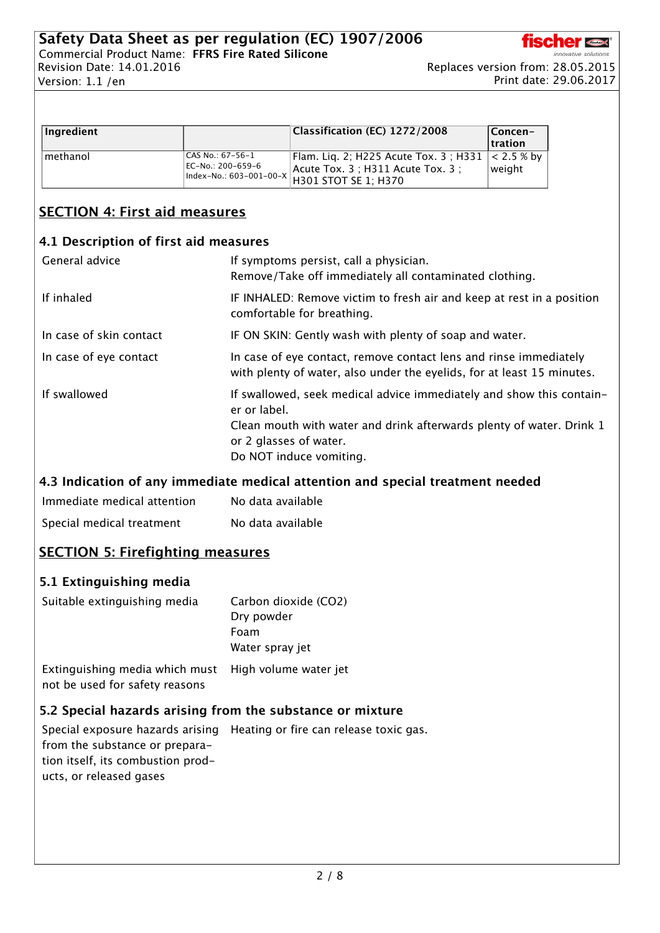

| Ingredient |                                         | Classification (EC) 1272/2008                                                          | Concen-                |
|------------|-----------------------------------------|----------------------------------------------------------------------------------------|------------------------|
|            |                                         |                                                                                        | tration                |
| methanol   | CAS No.: 67-56-1<br>  EC-No.: 200–659–6 | Flam. Liq. 2; H225 Acute Tox. 3 ; H331<br>Index-No.: 603-001-00-X H301 STOT SE 1; H370 | $< 2.5 %$ by<br>weight |

# SECTION 4: First aid measures

## 4.1 Description of first aid measures

| General advice          | If symptoms persist, call a physician.<br>Remove/Take off immediately all contaminated clothing.                                                                                                                  |
|-------------------------|-------------------------------------------------------------------------------------------------------------------------------------------------------------------------------------------------------------------|
| If inhaled              | IF INHALED: Remove victim to fresh air and keep at rest in a position<br>comfortable for breathing.                                                                                                               |
| In case of skin contact | IF ON SKIN: Gently wash with plenty of soap and water.                                                                                                                                                            |
| In case of eye contact  | In case of eye contact, remove contact lens and rinse immediately<br>with plenty of water, also under the eyelids, for at least 15 minutes.                                                                       |
| If swallowed            | If swallowed, seek medical advice immediately and show this contain-<br>er or label.<br>Clean mouth with water and drink afterwards plenty of water. Drink 1<br>or 2 glasses of water.<br>Do NOT induce vomiting. |

## 4.3 Indication of any immediate medical attention and special treatment needed

| Immediate medical attention | No data available |
|-----------------------------|-------------------|
| Special medical treatment   | No data available |

# SECTION 5: Firefighting measures

## 5.1 Extinguishing media

| Suitable extinguishing media                                                           | Carbon dioxide (CO2)<br>Dry powder |  |
|----------------------------------------------------------------------------------------|------------------------------------|--|
|                                                                                        | Foam<br>Water spray jet            |  |
| Extinguishing media which must High volume water jet<br>not be used for safety reasons |                                    |  |

## 5.2 Special hazards arising from the substance or mixture

Special exposure hazards arising Heating or fire can release toxic gas.from the substance or preparation itself, its combustion products, or released gases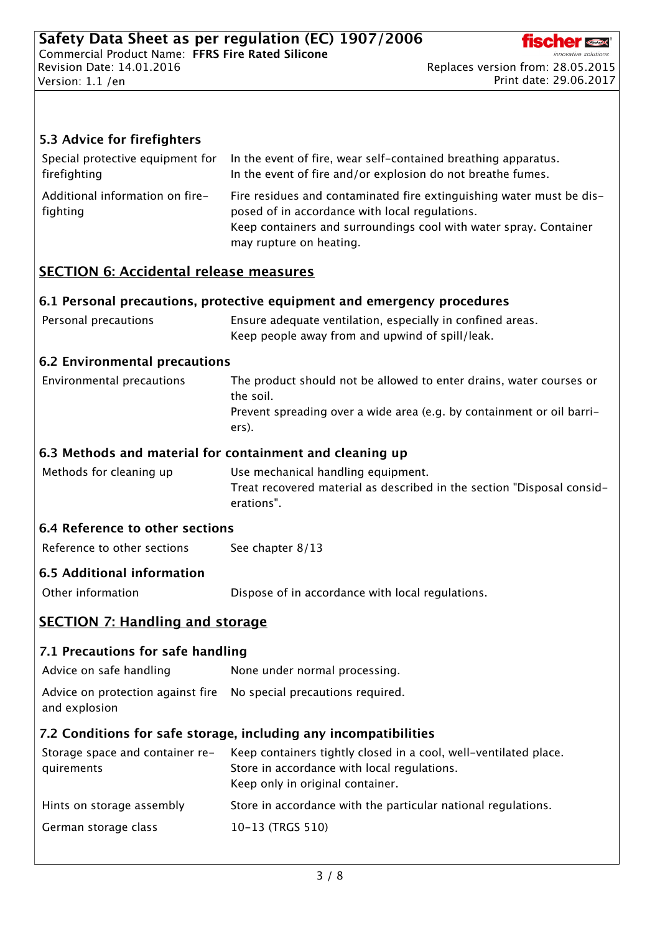

Print date: 29.06.2017

### 5.3 Advice for firefighters

| Special protective equipment for            | In the event of fire, wear self-contained breathing apparatus.                                                                                                                                                         |
|---------------------------------------------|------------------------------------------------------------------------------------------------------------------------------------------------------------------------------------------------------------------------|
| firefighting                                | In the event of fire and/or explosion do not breathe fumes.                                                                                                                                                            |
| Additional information on fire-<br>fighting | Fire residues and contaminated fire extinguishing water must be dis-<br>posed of in accordance with local regulations.<br>Keep containers and surroundings cool with water spray. Container<br>may rupture on heating. |

### SECTION 6: Accidental release measures

#### 6.1 Personal precautions, protective equipment and emergency procedures

| Personal precautions | Ensure adequate ventilation, especially in confined areas. |  |
|----------------------|------------------------------------------------------------|--|
|                      | Keep people away from and upwind of spill/leak.            |  |

#### 6.2 Environmental precautions

| Environmental precautions | The product should not be allowed to enter drains, water courses or   |
|---------------------------|-----------------------------------------------------------------------|
|                           | the soil.                                                             |
|                           | Prevent spreading over a wide area (e.g. by containment or oil barri- |
|                           | ers).                                                                 |

#### 6.3 Methods and material for containment and cleaning up

Methods for cleaning up Use mechanical handling equipment. Treat recovered material as described in the section "Disposal considerations".

### 6.4 Reference to other sections

| Reference to other sections | See chapter 8/13 |  |
|-----------------------------|------------------|--|
|-----------------------------|------------------|--|

#### 6.5 Additional information

Other information **Dispose of in accordance with local regulations.** 

## SECTION 7: Handling and storage

### 7.1 Precautions for safe handling

Advice on safe handling None under normal processing.

Advice on protection against fire No special precautions required.

and explosion

### 7.2 Conditions for safe storage, including any incompatibilities

| Storage space and container re-<br>quirements | Keep containers tightly closed in a cool, well-ventilated place.<br>Store in accordance with local regulations.<br>Keep only in original container. |
|-----------------------------------------------|-----------------------------------------------------------------------------------------------------------------------------------------------------|
| Hints on storage assembly                     | Store in accordance with the particular national regulations.                                                                                       |
| German storage class                          | 10-13 (TRGS 510)                                                                                                                                    |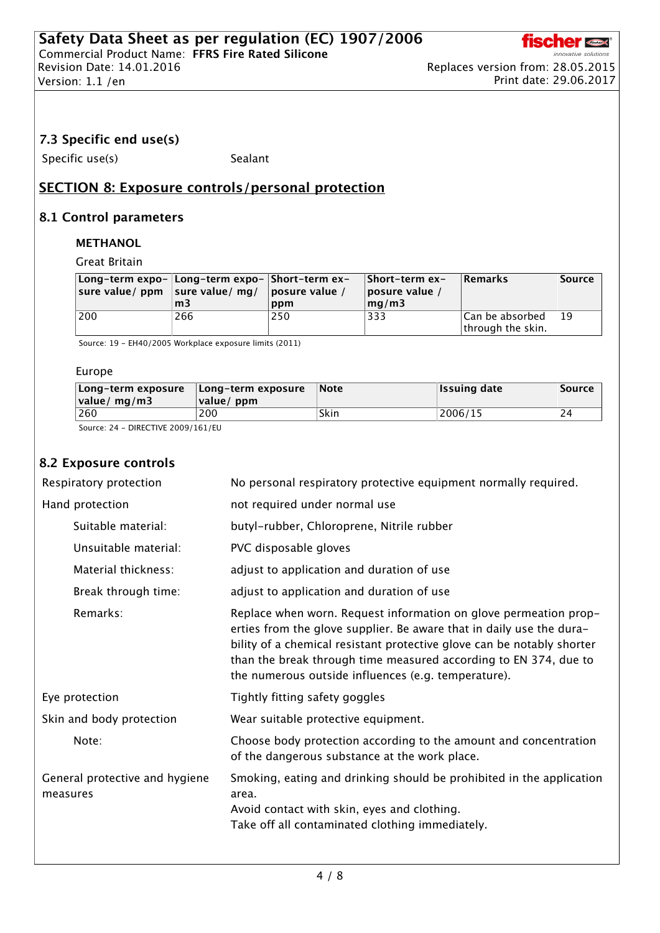## 7.3 Specific end use(s)

Specific use(s) Sealant

## SECTION 8: Exposure controls/personal protection

### 8.1 Control parameters

#### METHANOL

Great Britain

| Long-term expo-  Long-term expo-  Short-term ex-<br>sure value/ $ppm$ sure value/ $mq/$ | m <sub>3</sub> | $ $ posure value /<br>ppm | ∣Short-term ex-<br> posure value <br>mq/m3 | <b>Remarks</b>                        | Source |
|-----------------------------------------------------------------------------------------|----------------|---------------------------|--------------------------------------------|---------------------------------------|--------|
| 200                                                                                     | 266            | 250                       | 333                                        | Can be absorbed <br>through the skin. | 19     |

Source: 19 - EH40/2005 Workplace exposure limits (2011)

#### Europe

| Long-term exposure<br> value/ mg/m3 | Long-term exposure<br> value/ppm | <b>Note</b> | <b>Issuing date</b> | Source |
|-------------------------------------|----------------------------------|-------------|---------------------|--------|
| 260                                 | 200                              | Skin        | 2006/15             | 24     |

Source: 24 - DIRECTIVE 2009/161/EU

## 8.2 Exposure controls

| Respiratory protection                     | No personal respiratory protective equipment normally required.                                                                                                                                                                                                                                                                               |
|--------------------------------------------|-----------------------------------------------------------------------------------------------------------------------------------------------------------------------------------------------------------------------------------------------------------------------------------------------------------------------------------------------|
| Hand protection                            | not required under normal use                                                                                                                                                                                                                                                                                                                 |
| Suitable material:                         | butyl-rubber, Chloroprene, Nitrile rubber                                                                                                                                                                                                                                                                                                     |
| Unsuitable material:                       | PVC disposable gloves                                                                                                                                                                                                                                                                                                                         |
| Material thickness:                        | adjust to application and duration of use                                                                                                                                                                                                                                                                                                     |
| Break through time:                        | adjust to application and duration of use                                                                                                                                                                                                                                                                                                     |
| Remarks:                                   | Replace when worn. Request information on glove permeation prop-<br>erties from the glove supplier. Be aware that in daily use the dura-<br>bility of a chemical resistant protective glove can be notably shorter<br>than the break through time measured according to EN 374, due to<br>the numerous outside influences (e.g. temperature). |
| Eye protection                             | Tightly fitting safety goggles                                                                                                                                                                                                                                                                                                                |
| Skin and body protection                   | Wear suitable protective equipment.                                                                                                                                                                                                                                                                                                           |
| Note:                                      | Choose body protection according to the amount and concentration<br>of the dangerous substance at the work place.                                                                                                                                                                                                                             |
| General protective and hygiene<br>measures | Smoking, eating and drinking should be prohibited in the application<br>area.<br>Avoid contact with skin, eyes and clothing.<br>Take off all contaminated clothing immediately.                                                                                                                                                               |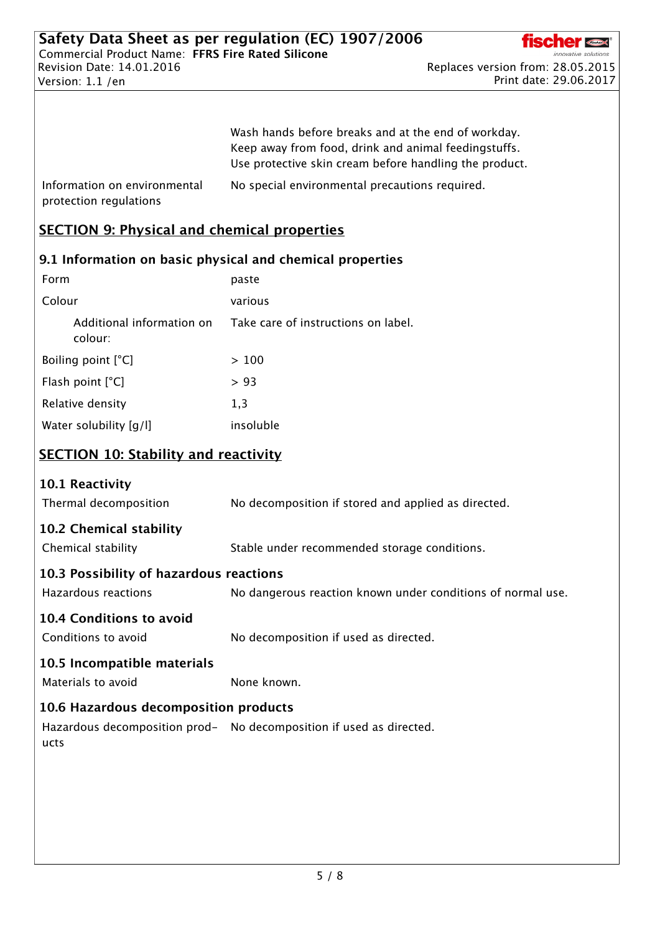

Print date: 29.06.2017

|                                                        | Wash hands before breaks and at the end of workday.<br>Keep away from food, drink and animal feedingstuffs.<br>Use protective skin cream before handling the product. |
|--------------------------------------------------------|-----------------------------------------------------------------------------------------------------------------------------------------------------------------------|
| Information on environmental<br>protection regulations | No special environmental precautions required.                                                                                                                        |

## SECTION 9: Physical and chemical properties

## 9.1 Information on basic physical and chemical properties

| paste                               |
|-------------------------------------|
| various                             |
| Take care of instructions on label. |
| >100                                |
| >93                                 |
| 1,3                                 |
| insoluble                           |
|                                     |

# SECTION 10: Stability and reactivity

| Thermal decomposition                   | No decomposition if stored and applied as directed.                 |
|-----------------------------------------|---------------------------------------------------------------------|
| 10.2 Chemical stability                 |                                                                     |
| Chemical stability                      | Stable under recommended storage conditions.                        |
| 10.3 Possibility of hazardous reactions |                                                                     |
| Hazardous reactions                     | No dangerous reaction known under conditions of normal use.         |
| 10.4 Conditions to avoid                |                                                                     |
| Conditions to avoid                     | No decomposition if used as directed.                               |
| 10.5 Incompatible materials             |                                                                     |
| Materials to avoid                      | None known.                                                         |
| 10.6 Hazardous decomposition products   |                                                                     |
| ucts                                    | Hazardous decomposition prod- No decomposition if used as directed. |
|                                         |                                                                     |
|                                         |                                                                     |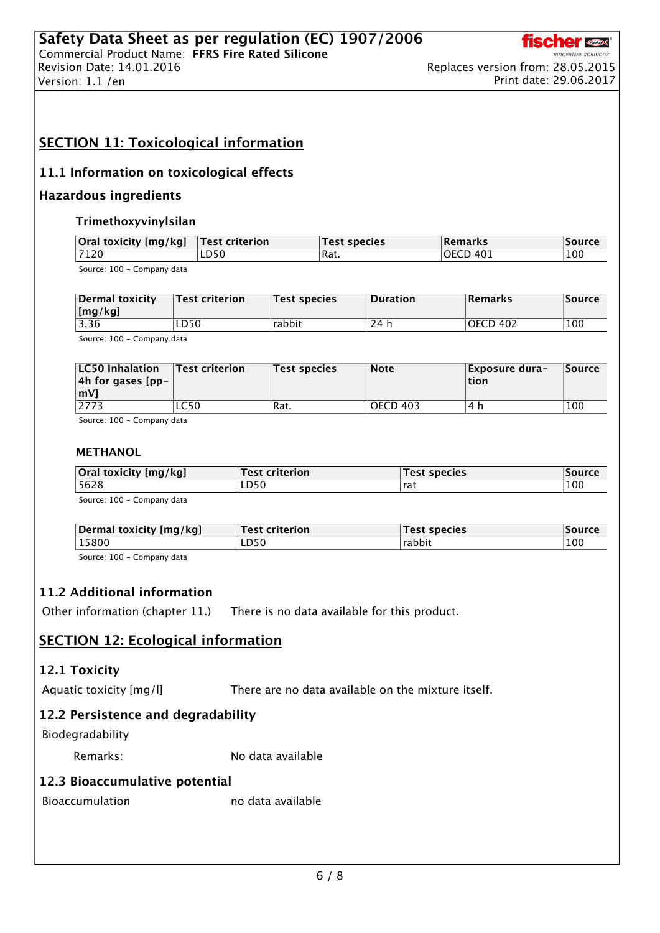

Print date: 29.06.2017

# SECTION 11: Toxicological information

### 11.1 Information on toxicological effects

#### Hazardous ingredients

#### Trimethoxyvinylsilan

| Oral toxicity [mg/kg]      | <b>Test criterion</b> | 'Test species | Remarks                 | Source |
|----------------------------|-----------------------|---------------|-------------------------|--------|
| 7120                       | LD50                  | 'Rat.         | $\overline{O}$ DECD 401 | 100    |
| Source: 100 - Company data |                       |               |                         |        |

npany

| Dermal toxicity<br>$\lfloor$ [mg/kg] | $^\circ$ Test criterion $^\circ$ | Test species | Duration | <b>Remarks</b> | Source |
|--------------------------------------|----------------------------------|--------------|----------|----------------|--------|
| 3,36                                 | LD50                             | rabbit       | 24 h     | OECD 402       | 100    |
| Course 100 Company data              |                                  |              |          |                |        |

Source: 100 - Company data

| <b>LC50 Inhalation</b><br> 4h for gases [pp- $\frac{1}{2}$ ]<br>$\mathsf{Im}V$ | $\sf{Test}$ criterion | <b>Test species</b> | <b>Note</b> | Exposure dura-<br>tion | Source |
|--------------------------------------------------------------------------------|-----------------------|---------------------|-------------|------------------------|--------|
| 2773                                                                           | LC50                  | Rat.                | OECD 403    | 4 h                    | 100    |

Source: 100 - Company data

#### METHANOL

| Oral toxicity [mg/kg]    | $^{\circ}$ Test criterion $^{\circ}$ | <b>Test species</b> | <b>Source</b> |
|--------------------------|--------------------------------------|---------------------|---------------|
| 5628                     | LD50                                 | ˈrat                | 100           |
| $SOurco: 100 - Common 1$ |                                      |                     |               |

Source: 100 - Company data

| Dermal toxicity [mg/kg] | <b>Test criterion</b> | Test species | Source |
|-------------------------|-----------------------|--------------|--------|
| 15800                   | LD50                  | rabbit       | 100    |
| .                       |                       |              |        |

Source: 100 - Company data

### 11.2 Additional information

Other information (chapter 11.) There is no data available for this product.

## SECTION 12: Ecological information

#### 12.1 Toxicity

Aquatic toxicity [mg/l] There are no data available on the mixture itself.

## 12.2 Persistence and degradability

Biodegradability

Remarks: No data available

## 12.3 Bioaccumulative potential

Bioaccumulation no data available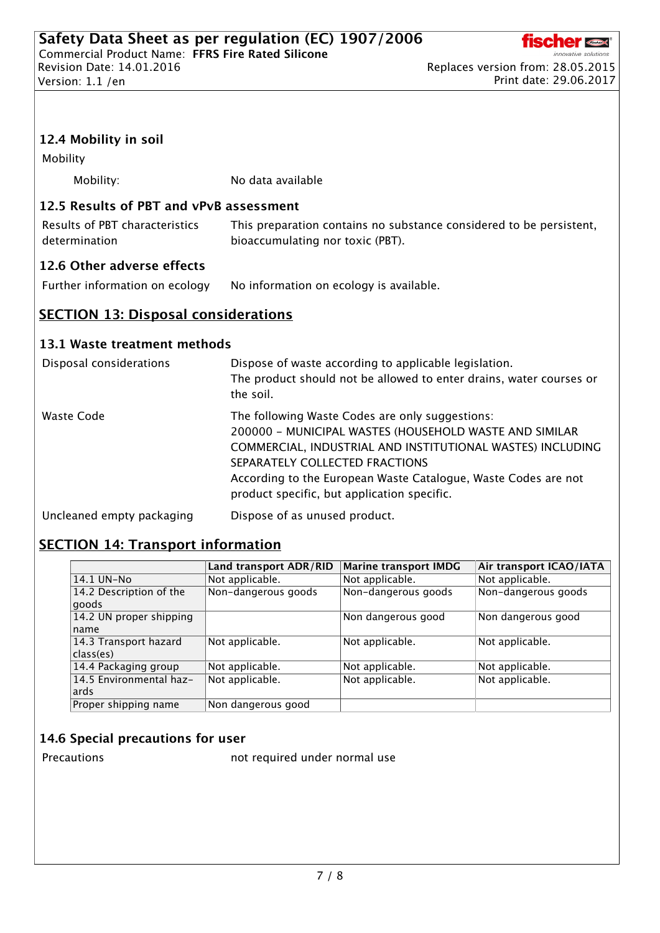

## 12.4 Mobility in soil

Mobility

Mobility: No data available

### 12.5 Results of PBT and vPvB assessment

| Results of PBT characteristics | This preparation contains no substance considered to be persistent, |
|--------------------------------|---------------------------------------------------------------------|
| determination                  | bioaccumulating nor toxic (PBT).                                    |

## 12.6 Other adverse effects

Further information on ecology No information on ecology is available.

## **SECTION 13: Disposal considerations**

### 13.1 Waste treatment methods

| Disposal considerations   | Dispose of waste according to applicable legislation.<br>The product should not be allowed to enter drains, water courses or<br>the soil.                                                                                                                                                                                  |
|---------------------------|----------------------------------------------------------------------------------------------------------------------------------------------------------------------------------------------------------------------------------------------------------------------------------------------------------------------------|
| Waste Code                | The following Waste Codes are only suggestions:<br>200000 - MUNICIPAL WASTES (HOUSEHOLD WASTE AND SIMILAR<br>COMMERCIAL, INDUSTRIAL AND INSTITUTIONAL WASTES) INCLUDING<br>SEPARATELY COLLECTED FRACTIONS<br>According to the European Waste Catalogue, Waste Codes are not<br>product specific, but application specific. |
| Uncleaned empty packaging | Dispose of as unused product.                                                                                                                                                                                                                                                                                              |

# **SECTION 14: Transport information**

|                         | Land transport ADR/RID | <b>Marine transport IMDG</b> | Air transport ICAO/IATA |
|-------------------------|------------------------|------------------------------|-------------------------|
| 14.1 UN-No              | Not applicable.        | Not applicable.              | Not applicable.         |
| 14.2 Description of the | Non-dangerous goods    | Non-dangerous goods          | Non-dangerous goods     |
| goods                   |                        |                              |                         |
| 14.2 UN proper shipping |                        | Non dangerous good           | Non dangerous good      |
| name                    |                        |                              |                         |
| 14.3 Transport hazard   | Not applicable.        | Not applicable.              | Not applicable.         |
| class(es)               |                        |                              |                         |
| 14.4 Packaging group    | Not applicable.        | Not applicable.              | Not applicable.         |
| 14.5 Environmental haz- | Not applicable.        | Not applicable.              | Not applicable.         |
| ards                    |                        |                              |                         |
| Proper shipping name    | Non dangerous good     |                              |                         |

### 14.6 Special precautions for user

Precautions **not required under normal use**